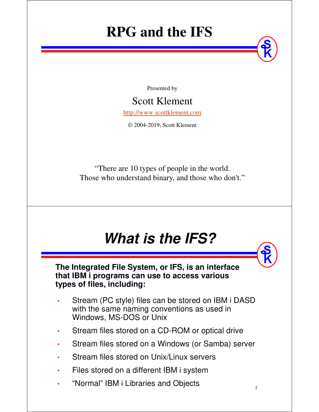## **RPG and the IFS**

Presented by

### Scott Klement

http://www.scottklement.com

© 2004-2019, Scott Klement

"There are 10 types of people in the world. Those who understand binary, and those who don't."

## *What is the IFS?*

**The Integrated File System, or IFS, is an interface that IBM i programs can use to access various types of files, including:**

- • Stream (PC style) files can be stored on IBM i DASD with the same naming conventions as used in Windows, MS-DOS or Unix
- •Stream files stored on a CD-ROM or optical drive
- •Stream files stored on a Windows (or Samba) server
- •Stream files stored on Unix/Linux servers
- •Files stored on a different IBM i system
- •"Normal" IBM i Libraries and Objects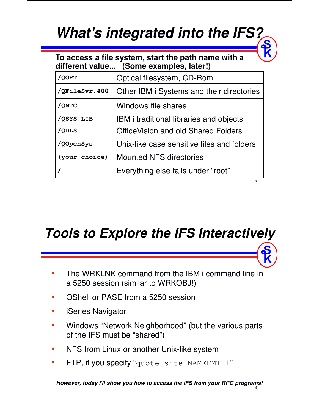## *What's integrated into the IFS?*

**To access a file system, start the path name with a different value... (Some examples, later!)**

| /QOPT         | Optical filesystem, CD-Rom                     |
|---------------|------------------------------------------------|
| /QFileSvr.400 | Other IBM i Systems and their directories      |
| /QNTC         | Windows file shares                            |
| /QSYS.LIB     | <b>IBM</b> i traditional libraries and objects |
| /QDLS         | <b>OfficeVision and old Shared Folders</b>     |
| /QOpenSys     | Unix-like case sensitive files and folders     |
| (your choice) | <b>Mounted NFS directories</b>                 |
|               | Everything else falls under "root"             |
|               | 3                                              |

*Tools to Explore the IFS Interactively*

- • The WRKLNK command from the IBM i command line in a 5250 session (similar to WRKOBJ!)
- •QShell or PASE from a 5250 session
- •iSeries Navigator
- • Windows "Network Neighborhood" (but the various parts of the IFS must be "shared")
- •NFS from Linux or another Unix-like system
- •FTP, if you specify "quote site NAMEFMT 1"

4 *However, today I'll show you how to access the IFS from your RPG programs!*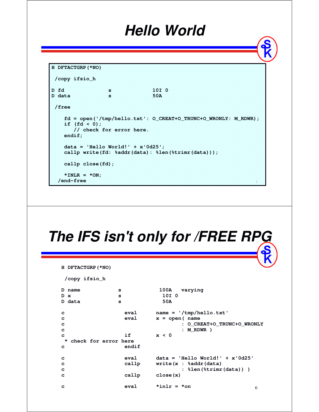## *Hello World*

```
H DFTACTGRP(*NO) 
 /copy ifsio_h 
D fd s 10I 0 
D data s 50A 
 /free 
   fd = open('/tmp/hello.txt': O_CREAT+O_TRUNC+O_WRONLY: M_RDWR); 
   if (fd < 0); 
      // check for error here.
   endif; 
   data = 'Hello World!' + x'0d25'; 
   callp write(fd: %addr(data): %len(%trimr(data)));
   callp close(fd); 
   *INK = *ON;/end-free
```
## *The IFS isn't only for /FREE RPG*

```
H DFTACTGRP(*NO)
```
**/copy ifsio\_h**

```
6
D name s 100A varying
D x s 10I 0
D data s 50A
c eval name = '/tmp/hello.txt'
c eval x = open( name
c : O_CREAT+O_TRUNC+O_WRONLY
c : M_RDWR )
c if x < 0
* check for error here
c endif
c eval data = 'Hello World!' + x'0d25'
c callp write(x : %addr(data)
c : %len(%trimr(data)) )
c callp close(x)
c eval *inlr = *on
```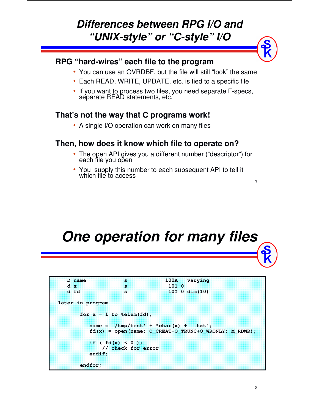### *Differences between RPG I/O and "UNIX-style" or "C-style" I/O*

### **RPG "hard-wires" each file to the program**

- You can use an OVRDBF, but the file will still "look" the same
- Each READ, WRITE, UPDATE, etc. is tied to a specific file
- If you want to process two files, you need separate F-specs, separate READ statements, etc.

### **That's not the way that C programs work!**

• A single I/O operation can work on many files

### **Then, how does it know which file to operate on?**

- The open API gives you a different number ("descriptor") for each file you open
- •• You supply this number to each subsequent API to tell it which file to access

## *One operation for many files*

| D name           | 33                                        |                  | 100A varying                                            |  |
|------------------|-------------------------------------------|------------------|---------------------------------------------------------|--|
| dx               | 93                                        | 10I <sub>0</sub> |                                                         |  |
| d fd             | 3                                         |                  | $10I$ 0 dim $(10)$                                      |  |
| later in program |                                           |                  |                                                         |  |
|                  | for $x = 1$ to %elem(fd);                 |                  |                                                         |  |
|                  | name = $'/tmp/test' + %char(x) + '.txt';$ |                  |                                                         |  |
|                  |                                           |                  | $fd(x) = open(name: O CREAT+O TRUNC+O WRONLY: M RDWR);$ |  |
|                  | if $f : f d(x) < 0$ );                    |                  |                                                         |  |
|                  | // check for error                        |                  |                                                         |  |
| endif;           |                                           |                  |                                                         |  |
| endfor;          |                                           |                  |                                                         |  |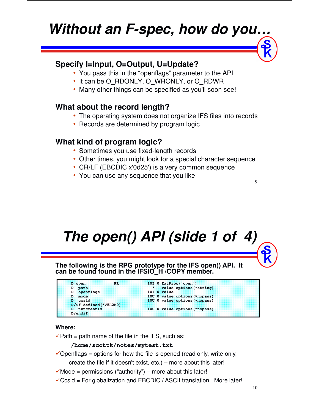## *Without an F-spec, how do you…*

### **Specify I=Input, O=Output, U=Update?**

- You pass this in the "openflags" parameter to the API
- It can be O\_RDONLY, O\_WRONLY, or O\_RDWR
- Many other things can be specified as you'll soon see!

### **What about the record length?**

- The operating system does not organize IFS files into records
- Records are determined by program logic

### **What kind of program logic?**

- Sometimes you use fixed-length records
- Other times, you might look for a special character sequence
- CR/LF (EBCDIC x'0d25') is a very common sequence
- You can use any sequence that you like

## *The open() API (slide 1 of 4)*

**The following is the RPG prototype for the IFS open() API. It**  can be found found in the **IFSIO<sup>'</sup>H** /COPY member.



### **Where:**

 $\sqrt{\frac{P\mu}{P}}$  Path = path name of the file in the IFS, such as:

### **/home/scottk/notes/mytest.txt**

- $\checkmark$  Openflags = options for how the file is opened (read only, write only,
	- create the file if it doesn't exist, etc.) more about this later!
- $\checkmark$  Mode = permissions ("authority") more about this later!
- $\checkmark$ Ccsid = For globalization and EBCDIC / ASCII translation. More later!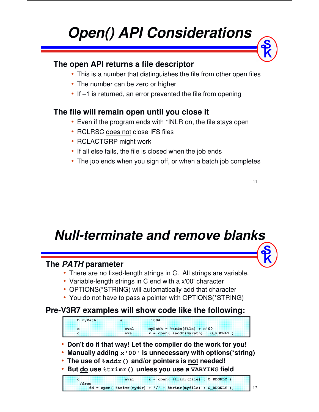## *Open() API Considerations*

### **The open API returns a file descriptor**

- This is a number that distinguishes the file from other open files
- The number can be zero or higher
- If –1 is returned, an error prevented the file from opening

### **The file will remain open until you close it**

- Even if the program ends with \*INLR on, the file stays open
- RCLRSC <u>does not</u> close IFS files
- RCLACTGRP might work
- If all else fails, the file is closed when the job ends
- The job ends when you sign off, or when a batch job completes

11

## *Null-terminate and remove blanks*

### **The** *PATH* **parameter**

- There are no fixed-length strings in C. All strings are variable.
- Variable-length strings in C end with a x'00' character
- OPTIONS(\*STRING) will automatically add that character
- You do not have to pass a pointer with OPTIONS(\*STRING)

### **Pre-V3R7 examples will show code like the following:**

**D myPath s 100A c eval myPath = %trim(file) + x'00' c eval x = open( %addr(myPath) : O\_RDONLY )**

- **Don't do it that way! Let the compiler do the work for you!**
- **Manually adding x'00' is unnecessary with options(\*string)**
- **The use of %addr() and/or pointers is not needed!**
- **But do use %trimr() unless you use a VARYING field**

**c eval x = open( %trimr(file) : O\_RDONLY ) /free fd = open( %trimr(mydir) + '/' + %trimr(myfile) : O\_RDONLY );**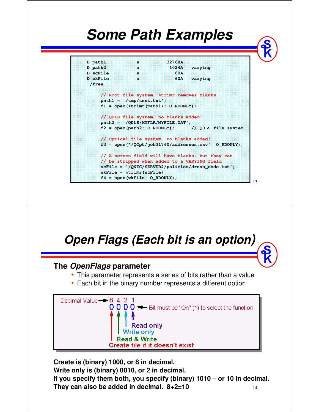## *Some Path Examples*

**D path1 s 32768A D path2 s 1024A varying D scFile s 60A D wkFile s 60A varying /free // Root file system, %trimr removes blanks path1 = '/tmp/test.txt'; f1 = open(%trimr(path1): O\_RDONLY); // QDLS file system, no blanks added! path2 = '/QDLS/MYFLR/MYFILE.DAT'; f2 = open(path2: O\_RDONLY); // QDLS file system // Optical file system, no blanks added! f3 = open('/QOpt/job31760/addresses.csv': O\_RDONLY); // A screen field will have blanks, but they can // be stripped when added to a VARYING field scFile = '/QNTC/SERVER4/policies/dress\_code.txt'; wkFile = %trimr(scFile); f4 = open(wkFile: O\_RDONLY);**

13

### *Open Flags (Each bit is an option)* **The** *OpenFlags* **parameter** • This parameter represents a series of bits rather than a value • Each bit in the binary number represents a different option Decimal Value - 8 4 2 1  $000 -$  Bit must be "On" (1) to select the function **Read only Write only Read & Write** Create file if it doesn't exist

14 **Create is (binary) 1000, or 8 in decimal. Write only is (binary) 0010, or 2 in decimal. If you specify them both, you specify (binary) 1010 – or 10 in decimal. They can also be added in decimal. 8+2=10**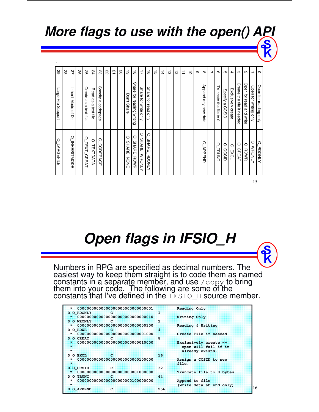### *More flags to use with the open() API*

| Inherit Mode<br>Read<br>Exclusively create<br>Specify a CCSID<br>for reading/writing<br>Don't Share<br>₿<br>for writing only<br>for write<br>for read<br>as<br>as<br>Aue<br>$\pmb{\omega}$<br>₿<br>file if needed<br>codepage<br>ω<br>മ<br>new<br>text<br>text<br>릉<br>$\vec{\sigma}$<br>Auo<br>Qnly<br>릉<br>$\overline{5}$<br>data<br>믖<br>릉<br>$\circ$<br>O<br>O<br>O<br>O<br>O<br>O<br><b>SHARE</b><br><b>SHARE</b><br>O<br>O<br><b>SHARE</b><br><b>INHERITMODE</b><br><b>SHARE</b><br>O<br>O<br>TEXT.<br>O<br>O<br>O<br>P<br>CODEPAGE<br>O<br>TEXTDATA<br><b>WRONLY</b><br>APPEND<br><b>CREAT</b><br>$-KOT$<br>CCSUD<br>TRUNC<br><b>RDWR</b><br><b>CREAT</b><br><b>RDWR</b><br>NONE | O<br><b>LARGEFILE</b> | <b>Large</b><br>들<br>prodang | 29             |
|-----------------------------------------------------------------------------------------------------------------------------------------------------------------------------------------------------------------------------------------------------------------------------------------------------------------------------------------------------------------------------------------------------------------------------------------------------------------------------------------------------------------------------------------------------------------------------------------------------------------------------------------------------------------------------------------|-----------------------|------------------------------|----------------|
|                                                                                                                                                                                                                                                                                                                                                                                                                                                                                                                                                                                                                                                                                         |                       |                              | 28             |
|                                                                                                                                                                                                                                                                                                                                                                                                                                                                                                                                                                                                                                                                                         |                       |                              | 27             |
|                                                                                                                                                                                                                                                                                                                                                                                                                                                                                                                                                                                                                                                                                         |                       |                              | 58             |
|                                                                                                                                                                                                                                                                                                                                                                                                                                                                                                                                                                                                                                                                                         |                       | Create                       | SS             |
|                                                                                                                                                                                                                                                                                                                                                                                                                                                                                                                                                                                                                                                                                         |                       |                              | 24             |
|                                                                                                                                                                                                                                                                                                                                                                                                                                                                                                                                                                                                                                                                                         |                       | Specify                      | ΣS             |
|                                                                                                                                                                                                                                                                                                                                                                                                                                                                                                                                                                                                                                                                                         |                       |                              | 22             |
| <b>RDONLY</b>                                                                                                                                                                                                                                                                                                                                                                                                                                                                                                                                                                                                                                                                           |                       |                              | $\overline{a}$ |
| <b>MRONLY</b>                                                                                                                                                                                                                                                                                                                                                                                                                                                                                                                                                                                                                                                                           |                       |                              | <b>S</b>       |
|                                                                                                                                                                                                                                                                                                                                                                                                                                                                                                                                                                                                                                                                                         |                       |                              | ಠ              |
|                                                                                                                                                                                                                                                                                                                                                                                                                                                                                                                                                                                                                                                                                         |                       | Share                        | $\vec{\infty}$ |
|                                                                                                                                                                                                                                                                                                                                                                                                                                                                                                                                                                                                                                                                                         |                       | Share                        | $\overline{a}$ |
|                                                                                                                                                                                                                                                                                                                                                                                                                                                                                                                                                                                                                                                                                         |                       | <b>Share</b>                 | $\vec{a}$      |
|                                                                                                                                                                                                                                                                                                                                                                                                                                                                                                                                                                                                                                                                                         |                       |                              | <b>G</b>       |
|                                                                                                                                                                                                                                                                                                                                                                                                                                                                                                                                                                                                                                                                                         |                       |                              | $\frac{1}{4}$  |
|                                                                                                                                                                                                                                                                                                                                                                                                                                                                                                                                                                                                                                                                                         |                       |                              | ದ              |
|                                                                                                                                                                                                                                                                                                                                                                                                                                                                                                                                                                                                                                                                                         |                       |                              | $\vec{v}$      |
|                                                                                                                                                                                                                                                                                                                                                                                                                                                                                                                                                                                                                                                                                         |                       |                              | ⇉              |
|                                                                                                                                                                                                                                                                                                                                                                                                                                                                                                                                                                                                                                                                                         |                       |                              | $\vec{0}$      |
|                                                                                                                                                                                                                                                                                                                                                                                                                                                                                                                                                                                                                                                                                         |                       |                              | $\circ$        |
|                                                                                                                                                                                                                                                                                                                                                                                                                                                                                                                                                                                                                                                                                         |                       | Append                       | $\infty$       |
|                                                                                                                                                                                                                                                                                                                                                                                                                                                                                                                                                                                                                                                                                         |                       |                              | ↘              |
|                                                                                                                                                                                                                                                                                                                                                                                                                                                                                                                                                                                                                                                                                         |                       | Truncate                     | $\sigma$       |
|                                                                                                                                                                                                                                                                                                                                                                                                                                                                                                                                                                                                                                                                                         |                       |                              | cл             |
|                                                                                                                                                                                                                                                                                                                                                                                                                                                                                                                                                                                                                                                                                         |                       |                              | $\rightarrow$  |
|                                                                                                                                                                                                                                                                                                                                                                                                                                                                                                                                                                                                                                                                                         |                       | Create                       | ω              |
|                                                                                                                                                                                                                                                                                                                                                                                                                                                                                                                                                                                                                                                                                         |                       | Open for read and write      | $\mathsf{D}$   |
|                                                                                                                                                                                                                                                                                                                                                                                                                                                                                                                                                                                                                                                                                         |                       | Open                         | ∸              |
| O<br><b>RDONLY</b>                                                                                                                                                                                                                                                                                                                                                                                                                                                                                                                                                                                                                                                                      |                       | Open for reading only        | $\circ$        |

15

16

## *Open flags in IFSIO\_H*

Numbers in RPG are specified as decimal numbers. The easiest way to keep them straight is to code them as named constants in a separate member, and use  $\sqrt{\text{copy}}$  to bring them into your code. The following are some of the constants that I've defined in the  $\texttt{IFSIO\_H}$  source member.

|                 |     | Reading Only             |
|-----------------|-----|--------------------------|
| D O RDONLY C    | 36  |                          |
|                 |     | Writing Only             |
| D O WRONLY C    | 2   |                          |
|                 |     | Reading & Writing        |
| D O RDWR C      | Ø.  |                          |
|                 |     | Create File if needed    |
| D O CREAT       | 8   |                          |
|                 |     | Exclusively create $-$   |
| ÷               |     | open will fail if it     |
| ÷               |     | already exists.          |
| းေလ<br>D O EXCL | 16  |                          |
|                 |     | Assign a CCSID to new    |
| 98              |     | file                     |
| D O CCSID C     | 32. |                          |
|                 |     | Truncate file to 0 bytes |
| D O TRUNC C     | 64  |                          |
|                 |     | Append to file           |
| œ               |     | (write data at end only) |
| D O APPEND<br>œ | 256 |                          |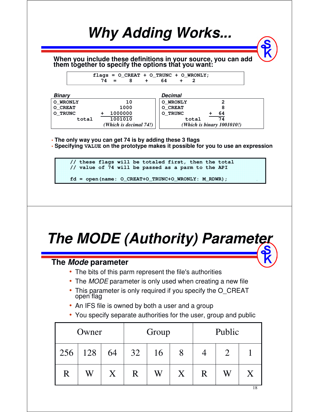

## *The MODE (Authority) Parameter*

### **The** *Mode* **parameter**

- The bits of this parm represent the file's authorities
- The MODE parameter is only used when creating a new file
- This parameter is only required if you specify the O\_CREAT open flag
- An IFS file is owned by both a user and a group
- You specify separate authorities for the user, group and public

|     | Owner |    |    | Group |   |   | Public |                           |  |  |  |  |  |  |
|-----|-------|----|----|-------|---|---|--------|---------------------------|--|--|--|--|--|--|
| 256 | 128   | 64 | 32 | 16    | 8 |   |        |                           |  |  |  |  |  |  |
| R   | W     | X  | R  | W     | X | R | W      | $\boldsymbol{\mathsf{X}}$ |  |  |  |  |  |  |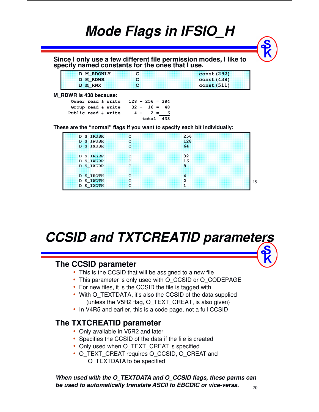|                                           |                                                  | Since I only use a few different file permission modes, I like to specify named constants for the ones that I use. |
|-------------------------------------------|--------------------------------------------------|--------------------------------------------------------------------------------------------------------------------|
| D M RDONLY                                | c                                                | <b>const (292)</b>                                                                                                 |
| <b>D M RDWR</b>                           | c                                                | const (438)                                                                                                        |
| D M_RWX                                   | C                                                | const (511)                                                                                                        |
| Group read & write<br>Public read & write | $32 + 16 =$<br>48<br>$4 + 2 =$<br>6<br>total 438 |                                                                                                                    |
|                                           |                                                  | These are the "normal" flags if you want to specify each bit individually:                                         |
| D S IRUSR                                 | c                                                | 256                                                                                                                |
| D S IWUSR                                 | c                                                | 128                                                                                                                |

*CCSID and TXTCREATID parameters*

### **The CCSID parameter**

- This is the CCSID that will be assigned to a new file
- This parameter is only used with O\_CCSID or O\_CODEPAGE
- For new files, it is the CCSID the file is tagged with

**D S\_IWOTH C 2 D S\_IXOTH C 1** 

- With O\_TEXTDATA, it's also the CCSID of the data supplied (unless the V5R2 flag, O\_TEXT\_CREAT, is also given)
- In V4R5 and earlier, this is a code page, not a full CCSID

### **The TXTCREATID parameter**

- Only available in V5R2 and later
- Specifies the CCSID of the data if the file is created
- Only used when O\_TEXT\_CREAT is specified
- O\_TEXT\_CREAT requires O\_CCSID, O\_CREAT and O\_TEXTDATA to be specified

*When used with the O\_TEXTDATA and O\_CCSID flags, these parms can be used to automatically translate ASCII to EBCDIC or vice-versa.*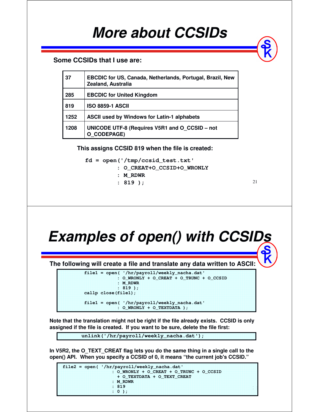## *More about CCSIDs*

### **Some CCSIDs that I use are:**

| 37   | <b>EBCDIC for US, Canada, Netherlands, Portugal, Brazil, New</b><br>Zealand, Australia |
|------|----------------------------------------------------------------------------------------|
| 285  | <b>EBCDIC for United Kingdom</b>                                                       |
| 819  | <b>ISO 8859-1 ASCII</b>                                                                |
| 1252 | <b>ASCII used by Windows for Latin-1 alphabets</b>                                     |
| 1208 | UNICODE UTF-8 (Requires V5R1 and O CCSID - not<br>O CODEPAGE)                          |

**This assigns CCSID 819 when the file is created:**

**fd = open('/tmp/ccsid\_test.txt'**

- **: O\_CREAT+O\_CCSID+O\_WRONLY**
- **: M\_RDWR : 819 );**

21

## *Examples of open() with CCSIDs*

**The following will create a file and translate any data written to ASCII:**

**file1 = open( '/hr/payroll/weekly\_nacha.dat' : O\_WRONLY + O\_CREAT + O\_TRUNC + O\_CCSID : M\_RDWR : 819 ); callp close(file1); file1 = open( '/hr/payroll/weekly\_nacha.dat' : O\_WRONLY + O\_TEXTDATA );**

**Note that the translation might not be right if the file already exists. CCSID is only assigned if the file is created. If you want to be sure, delete the file first:**

**unlink('/hr/payroll/weekly\_nacha.dat');**

**In V5R2, the O\_TEXT\_CREAT flag lets you do the same thing in a single call to the open() API. When you specify a CCSID of 0, it means "the current job's CCSID."**

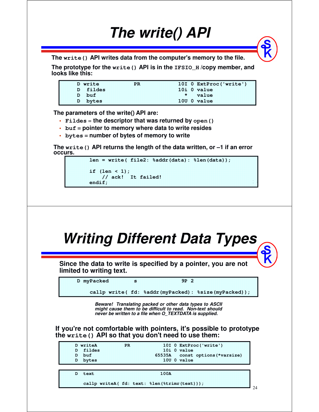## *The write() API*

**The write() API writes data from the computer's memory to the file.**

**The prototype for the write() API is in the IFSIO\_H /copy member, and looks like this:**

|  |          | D write |  |  |  |  |  |  |  |  |  |  |  |  |  | <b>PR</b> |  |  |  |  |  |  |  |  |  |  |  |  |  |  |  |  |  |  | 10I 0 ExtProc('write') |  |  |  |  |  |  |  |  |  |  |
|--|----------|---------|--|--|--|--|--|--|--|--|--|--|--|--|--|-----------|--|--|--|--|--|--|--|--|--|--|--|--|--|--|--|--|--|--|------------------------|--|--|--|--|--|--|--|--|--|--|
|  | D fildes |         |  |  |  |  |  |  |  |  |  |  |  |  |  |           |  |  |  |  |  |  |  |  |  |  |  |  |  |  |  |  |  |  | 10i O value            |  |  |  |  |  |  |  |  |  |  |
|  |          | D buf - |  |  |  |  |  |  |  |  |  |  |  |  |  |           |  |  |  |  |  |  |  |  |  |  |  |  |  |  |  |  |  |  | $\star$ value          |  |  |  |  |  |  |  |  |  |  |
|  |          | D bytes |  |  |  |  |  |  |  |  |  |  |  |  |  |           |  |  |  |  |  |  |  |  |  |  |  |  |  |  |  |  |  |  | $1000$ value           |  |  |  |  |  |  |  |  |  |  |
|  |          |         |  |  |  |  |  |  |  |  |  |  |  |  |  |           |  |  |  |  |  |  |  |  |  |  |  |  |  |  |  |  |  |  |                        |  |  |  |  |  |  |  |  |  |  |

**The parameters of the write() API are:** 

- **Fildes** <sup>=</sup> **the descriptor that was returned by open()**
- **buf <sup>=</sup>pointer to memory where data to write resides**
- **bytes <sup>=</sup>number of bytes of memory to write**

**The write() API returns the length of the data written, or –1 if an error occurs.**

```
len = write( file2: %addr(data): %len(data));
if (len < 1);
    // ack! It failed!
endif;
```
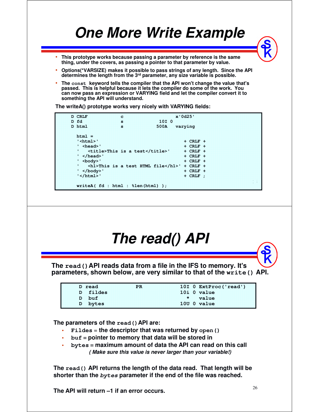## *One More Write Example*

- **This prototype works because passing a parameter by reference is the same thing, under the covers, as passing a pointer to that parameter by value.**
- **Options(\*VARSIZE) makes it possible to pass strings of any length. Since the API determines the length from the 3 rd parameter, any size variable is possible.**
- **The const keyword tells the compiler that the API won't change the value that's passed. This is helpful because it lets the compiler do some of the work. You can now pass an expression or VARYING field and let the compiler convert it to something the API will understand.**

**The writeA() prototype works very nicely with VARYING fields:**

**D CRLF c x'0d25' D fd s 10I 0 D html s 500A varying**   $htm1 =$ **'<html>' + CRLF + ' <head>' + CRLF + ' <title>This is a test</title>' + CRLF + ' </head>' + CRLF + ' <body>' + CRLF + ' <h1>This is a test HTML file</h1>' + CRLF + ' </body>' + CRLF +**   $\frac{1}{2}$  </html><sup>1</sup> + CRLF ; **writeA( fd : html : %len(html) );** 

![](_page_12_Picture_6.jpeg)

**The read() API returns the length of the data read. That length will be shorter than the bytes parameter if the end of the file was reached.**

**The API will return –1 if an error occurs.**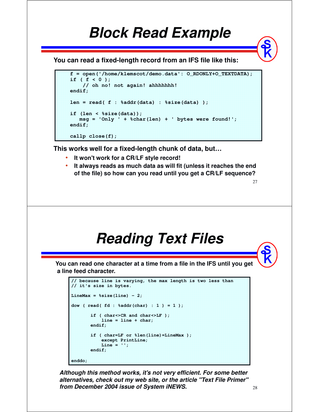### *Block Read Example*

**You can read a fixed-length record from an IFS file like this:**

```
f = open('/home/klemscot/demo.data': O_RDONLY+O_TEXTDATA); 
if ( f < 0 ); 
    // oh no! not again! ahhhhhhh! 
endif; 
len = read( f : %addr(data) : %size(data) ); 
if (len < %size(data)); 
   msg = 'Only ' + %char(len) + ' bytes were found!'; 
endif; 
callp close(f);
```
**This works well for a fixed-length chunk of data, but…**

- •**It won't work for a CR/LF style record!**
- **It always reads as much data as will fit (unless it reaches the end of the file) so how can you read until you get a CR/LF sequence?**

## *Reading Text Files*

**You can read one character at a time from a file in the IFS until you get a line feed character.**

```
// because line is varying, the max length is two less than
// it's size in bytes.
LineMax = %size(line) - 2;dow ( read( fd : %addr(char) : 1 ) = 1 );
       if ( char<>CR and char<>LF ); 
           line = line + char; 
       endif; 
       if ( char=LF or %len(line)=LineMax ); 
           except PrintLine; 
           Line = ''; 
       endif; 
enddo;
```
*Although this method works, it's not very efficient. For some better alternatives, check out my web site, or the article "Text File Primer" from December 2004 issue of System iNEWS.*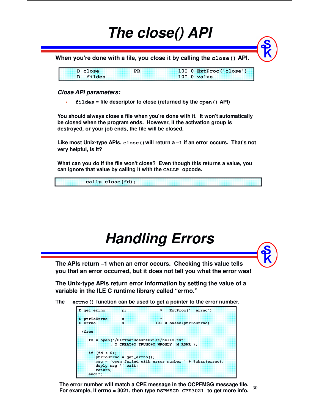![](_page_14_Picture_0.jpeg)

**For example, If errno = 3021, then type DSPMSGD CPE3021 to get more info.**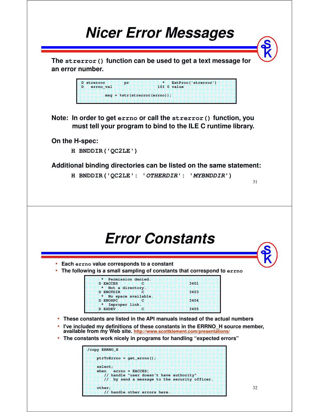![](_page_15_Figure_0.jpeg)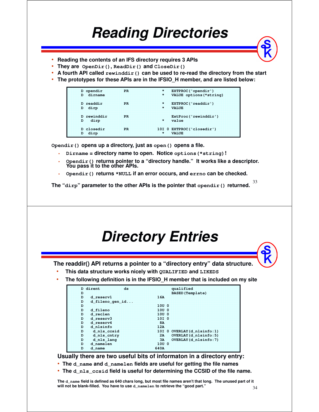## *Reading Directories*

- •**Reading the contents of an IFS directory requires 3 APIs**
- •**They are OpenDir(), ReadDir() and CloseDir()**
- •**A fourth API called rewinddir() can be used to re-read the directory from the start**
- **The prototypes for these APIs are in the IFSIO\_H member, and are listed below:**

| D opendir<br>D dirname | <b>PR</b>     | * EXTPROC('opendir')<br>* VALUE options (*string) |
|------------------------|---------------|---------------------------------------------------|
| D readdir<br>D dirp    | ≈PR∶          | * EXTPROC('readdir')<br>$\star$ <b>VALUE</b>      |
| D rewinddir<br>D dirp  | $\mathbf{PR}$ | ExtProc('rewinddir')<br><b><i>Aliv</i>alue</b>    |
| D closedir<br>D dirp   | ⊹PR           | 10I 0 EXTPROC('closedir')<br>$\star$ <b>VALUE</b> |

**Opendir() opens up a directory, just as open() opens a file.**

- •**Dirname = directory name to open. Notice options(\*string)!**
- • **Opendir() returns pointer to a "directory handle." It works like a descriptor. You pass it to the other APIs.**
- •**Opendir() returns \*NULL if an error occurs, and errno can be checked.**

33 **The "dirp" parameter to the other APIs is the pointer that opendir() returned.**

![](_page_16_Figure_11.jpeg)

• **The d\_nls\_ccsid field is useful for determining the CCSID of the file name.**

**The d\_name field is defined as 640 chars long, but most file names aren't that long. The unused part of it will not be blank-filled. You have to use d\_namelen to retrieve the "good part."**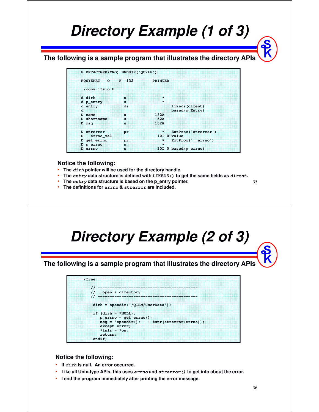## *Directory Example (1 of 3)*

**The following is a sample program that illustrates the directory APIs**

| H DFTACTGRP (*NO) BNDDIR ('QC2LE') |           |                           |
|------------------------------------|-----------|---------------------------|
| <b>FOSYSPRT</b><br>Юï              | $T = 132$ | <b>PRINTER</b>            |
| /copy ifsio h                      |           |                           |
| d dirh                             | æ         | 93                        |
| d p entry                          | ×         | ×                         |
| d entry                            | ds        | likeds (dirent)           |
| a                                  |           | based (p Entry)           |
| D name                             | ×         | 132A                      |
| D shortname                        | ×         | <b>52A</b>                |
| D msa                              | s         | 132A                      |
| D strerror                         | pr.       | 38<br>ExtProc('strerror') |
| errno val<br>D.                    |           | $101$ $0$ $value$         |
| D get errno                        | pr        | 98<br>ExtProc(' errno')   |
| D p errno                          | s.        | œ                         |
| D errno                            | s         | 10I 0 based (p errno)     |

#### **Notice the following:**

- •**The dirh pointer will be used for the directory handle.**
- •**The entry data structure is defined with LIKEDS() to get the same fields as dirent.**
- •**The entry data structure is based on the p\_entry pointer.**
- **The definitions for errno & strerror are included.**

![](_page_17_Picture_8.jpeg)

### **Notice the following:**

- **If dirh is null. An error occurred.**
- •**Like all Unix-type APIs, this uses errno and strerror() to get info about the error.**
- **I end the program immediately after printing the error message.**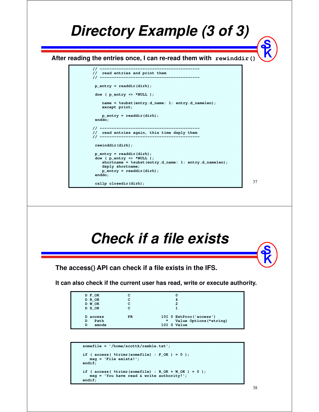![](_page_18_Figure_0.jpeg)

```
somefile = '/home/scottk/ramble.txt'; 
if ( access ( *trimr (somefile) : F_ON ) = 0 );
  msg = 'File exists!'; 
endif; 
if ( access ( %time(somefile) : R_QK + W_QK ) = 0 );
   msg = 'You have read & write authority!'; 
endif;
```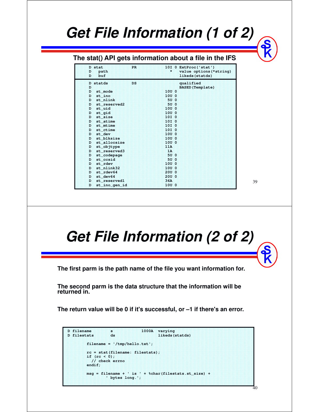## *Get File Information (1 of 2)*

### **The stat() API gets information about a file in the IFS**

| <b>D</b> stat<br>Đ<br>path<br>buf<br>Đ | <b>PR</b> | 10I 0 ExtProc('stat')<br>×<br>value options (*string)<br>likeds (statds) |  |
|----------------------------------------|-----------|--------------------------------------------------------------------------|--|
| D statds                               | ĐS        | qualified                                                                |  |
| Ð                                      |           | <b>BASED</b> (Template)                                                  |  |
| Đ.<br>st mode                          |           | 10U 0                                                                    |  |
| st ino<br>D                            |           | 10U <sub>0</sub>                                                         |  |
| st nlink<br>Đ.                         |           | 50.0                                                                     |  |
| st reserved2<br>D.                     |           | 50.0                                                                     |  |
| st uid<br>Đ                            |           | 10U <sub>0</sub>                                                         |  |
| st qid<br>Đ                            |           | 10U <sub>0</sub>                                                         |  |
| st size<br>ĐE                          |           | 10I <sub>0</sub>                                                         |  |
| st atime<br>Ð                          |           | 10I <sub>0</sub>                                                         |  |
| st mtime<br>D÷                         |           | 10I <sub>0</sub>                                                         |  |
| st ctime<br>Ð                          |           | 10I 0                                                                    |  |
| st dev<br>D                            |           | 10U <sub>0</sub>                                                         |  |
| st blksize<br>ĐE                       |           | 1000                                                                     |  |
| st allocsize<br>Ъ÷                     |           | 1000                                                                     |  |
| st_objtype<br>D                        |           | 11A                                                                      |  |
| st reserved3<br>D                      |           | ΊÄ                                                                       |  |
| st_codepage<br>Đ÷                      |           | <b>50 0</b>                                                              |  |
| st cesid<br>ĐF                         |           | 50.0                                                                     |  |
| st rdev<br>ĐF                          |           | 1000                                                                     |  |
| st nlink32<br>Đ.                       |           | 1000                                                                     |  |
| st rdev64<br>Đ÷                        |           | 20U <sub>0</sub>                                                         |  |
| st dev64<br>Đ                          |           | 20U <sub>0</sub>                                                         |  |
| st reserved1<br>Ð                      |           | 36 <sub>A</sub>                                                          |  |
| Đ<br>st ino gen id                     |           | 10U <sub>0</sub>                                                         |  |

39

## *Get File Information (2 of 2)*

**The first parm is the path name of the file you want information for.**

**The second parm is the data structure that the information will be returned in.**

**The return value will be 0 if it's successful, or –1 if there's an error.** 

```
D filename s 1000A varying<br>
D filestats ds 11keds(
D filestats ds likeds(statds)
       filename = '/tmp/hello.txt';
       rc = stat(filename: filestats); 
       if (rc < 0); 
         // check errno 
       endif; 
       msg = filename + ' is ' + %char(filestats.st_size) +
               ' bytes long.';
```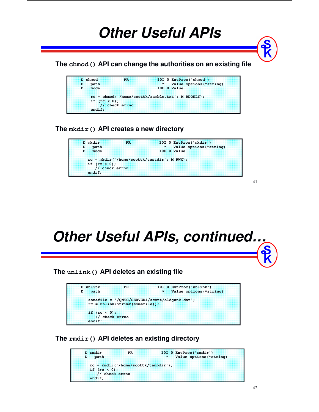![](_page_20_Figure_0.jpeg)